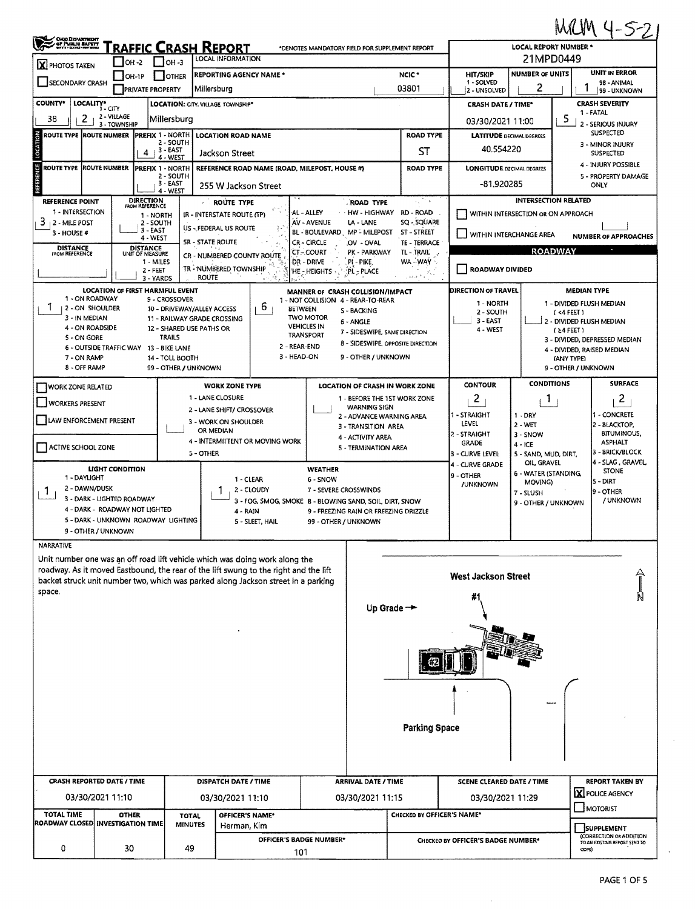|                                                                            |                                                            |                                                           |                       |                                                                                      |                                    |                                                 |                                               |                                    |                                        |                               | MRM 4-5-2                                    |  |  |  |  |
|----------------------------------------------------------------------------|------------------------------------------------------------|-----------------------------------------------------------|-----------------------|--------------------------------------------------------------------------------------|------------------------------------|-------------------------------------------------|-----------------------------------------------|------------------------------------|----------------------------------------|-------------------------------|----------------------------------------------|--|--|--|--|
| OHIO DEPARTMENT<br>CF PUBLIC BAPETT                                        |                                                            | Fraffic Crash Report                                      |                       | <b>LOCAL INFORMATION</b>                                                             |                                    | *DENOTES MANDATORY FIELD FOR SUPPLEMENT REPORT  | <b>LOCAL REPORT NUMBER *</b><br>21MPD0449     |                                    |                                        |                               |                                              |  |  |  |  |
| $ X $ PHOTOS TAKEN                                                         | $I$ OH -2                                                  | $I$ OH -3                                                 |                       |                                                                                      |                                    |                                                 | <b>NUMBER OF UNITS</b>                        | <b>UNIT IN ERROR</b>               |                                        |                               |                                              |  |  |  |  |
| OH-1P<br><b>OTHER</b><br><b>SECONDARY CRASH</b><br><b>PRIVATE PROPERTY</b> |                                                            |                                                           |                       | <b>REPORTING AGENCY NAME *</b><br>Millersburg                                        |                                    | NCIC <sup>+</sup><br>03801                      | <b>HIT/SKIP</b><br>1 - SOLVED<br>2 - UNSOLVED | 2                                  |                                        | 98 - ANIMAL<br>99 - UNKNOWN   |                                              |  |  |  |  |
| <b>COUNTY*</b><br>LOCALITY*                                                | 1 - CITY                                                   |                                                           |                       | LOCATION: CITY. VILLAGE. TOWNSHIP*                                                   |                                    | <b>CRASH DATE / TIME*</b>                       |                                               | <b>CRASH SEVERITY</b>              |                                        |                               |                                              |  |  |  |  |
| 2<br>38                                                                    | 2 - VILLAGE                                                | Millersburg                                               |                       |                                                                                      |                                    |                                                 |                                               | 03/30/2021 11:00                   |                                        | 5                             | 1 - FATAL                                    |  |  |  |  |
| ROUTE TYPE ROUTE NUMBER                                                    | 3 - TOWNSHIP                                               | <b>PREFIX 1 - NORTH</b>                                   |                       | <b>LOCATION ROAD NAME</b>                                                            |                                    |                                                 | <b>ROAD TYPE</b>                              | <b>LATITUDE DECIMAL DEGREES</b>    | 2 - SERIOUS INJURY<br><b>SUSPECTED</b> |                               |                                              |  |  |  |  |
| <b>LOCATION</b>                                                            |                                                            | 2 - SOUTH                                                 |                       |                                                                                      |                                    |                                                 |                                               | 40.554220                          |                                        |                               | 3 - MINOR INJURY                             |  |  |  |  |
|                                                                            |                                                            | . 3 - EAST<br>4<br>4 - WEST                               |                       | Jackson Street                                                                       |                                    |                                                 | ST                                            |                                    |                                        |                               | SUSPECTED                                    |  |  |  |  |
| <b>ROUTE TYPE ROUTE NUMBER</b>                                             |                                                            | <b>PREFIX 1 - NORTH</b><br>2 - SOUTH                      |                       | REFERENCE ROAD NAME (ROAD, MILEPOST, HOUSE #)                                        |                                    |                                                 | <b>ROAD TYPE</b>                              | <b>LONGITUDE DECIMAL DEGREES</b>   |                                        |                               | 4 - INJURY POSSIBLE<br>5 - PROPERTY DAMAGE   |  |  |  |  |
| REFERENCE                                                                  |                                                            | 3 - EAST<br>4 - WEST                                      |                       | 255 W Jackson Street                                                                 |                                    |                                                 | -81.920285                                    |                                    |                                        | ONLY                          |                                              |  |  |  |  |
| <b>REFERENCE POINT</b>                                                     |                                                            | <b>DIRECTION</b><br>FROM REFERENCE                        |                       | ROUTE TYPE                                                                           |                                    | ROAD TYPE                                       |                                               | <b>INTERSECTION RELATED</b>        |                                        |                               |                                              |  |  |  |  |
| 1 - INTERSECTION                                                           |                                                            | 1 - NORTH                                                 |                       | IR - INTERSTATE ROUTE (TP)                                                           | AL - ALLEY                         | HW - HIGHWAY                                    | RD - ROAD                                     | WITHIN INTERSECTION OR ON APPROACH |                                        |                               |                                              |  |  |  |  |
| 3.<br><b>12 - MILE POST</b><br>3 - HOUSE #                                 |                                                            | 2 - SOUTH<br>$3 - EAST$                                   |                       | US - FEDERAL US ROUTE                                                                | AV - AVENUE<br><b>BL-BOULEVARD</b> | LA - LANE<br>MP - MILEPOST                      | SQ - SQUARE<br>ST - STREET                    | WITHIN INTERCHANGE AREA            |                                        |                               |                                              |  |  |  |  |
|                                                                            |                                                            | 4 - WEST                                                  | SR - STATE ROUTE      | CR - CIRCLE                                                                          | .OV - OVAL                         | <b>NUMBER OF APPROACHES</b>                     |                                               |                                    |                                        |                               |                                              |  |  |  |  |
| <b>DISTANCE</b><br>FROM REFERENCE                                          |                                                            | <b>DISTANCE</b><br>UNIT OF MEASURE                        |                       | CR - NUMBERED COUNTY ROUTE                                                           | CT-COURT                           | PK - PARKWAY                                    | $\bullet$<br><b>ROADWAY</b><br>tl - Trail     |                                    |                                        |                               |                                              |  |  |  |  |
|                                                                            |                                                            | 1 - MILES<br>$2 - FEET$                                   | <b>ROUTE</b>          | TR - NUMBERED TOWNSHIP                                                               | DR - DRIVE<br>HE - HEIGHTS         | PI - PIKE<br><b>PL<sub>2</sub>PLACE</b>         | WA-WAY<br>as a fills                          | ROADWAY DIVIDED                    |                                        |                               |                                              |  |  |  |  |
|                                                                            | <b>LOCATION OF FIRST HARMFUL EVENT</b>                     | 3 - YARDS                                                 |                       |                                                                                      |                                    | MANNER OF CRASH COLLISION/IMPACT                |                                               | DIRECTION OF TRAVEL                |                                        |                               | <b>MEDIAN TYPE</b>                           |  |  |  |  |
| 1 - ON ROADWAY                                                             |                                                            | 9 - CROSSOVER                                             |                       |                                                                                      |                                    | 1 - NOT COLLISION 4 - REAR-TO-REAR              |                                               | 1 - NORTH                          |                                        |                               | 1 - DIVIDED FLUSH MEDIAN                     |  |  |  |  |
| 1<br>12-ON SHOULDER<br>3 - IN MEDIAN                                       |                                                            | 10 - DRIVEWAY/ALLEY ACCESS<br>11 - RAILWAY GRADE CROSSING |                       | 6<br><b>BETWEEN</b>                                                                  | <b>TWO MOTOR</b>                   | S - BACKING                                     |                                               | 2 - SOUTH                          |                                        | (4FEE)                        |                                              |  |  |  |  |
| 4 - ON ROADSIDE                                                            |                                                            | 12 - SHARED USE PATHS OR                                  |                       |                                                                                      | <b>VEHICLES IN</b>                 | 6 - ANGLE<br>7 - SIDESWIPE, SAME DIRECTION      |                                               | $3 -$ EAST<br>4 - WEST             |                                        | $(24$ FEET)                   | 2 - DIVIDED FLUSH MEDIAN                     |  |  |  |  |
| 5 - ON GORE                                                                |                                                            | <b>TRAILS</b>                                             |                       |                                                                                      | <b>TRANSPORT</b>                   |                                                 | 8 - SIDESWIPE, OPPOSITE DIRECTION             |                                    |                                        | 3 - DIVIDED, DEPRESSED MEDIAN |                                              |  |  |  |  |
| 7 - ON RAMP                                                                | 6 - OUTSIDE TRAFFIC WAY 13 - BIKE LANE                     | 14 - TOLL BOOTH                                           |                       | 2 - REAR-END<br>3 - HEAD-ON                                                          |                                    | 9 - OTHER / UNKNOWN                             |                                               |                                    |                                        | (ANY TYPE)                    | 4 - DIVIDED, RAISED MEDIAN                   |  |  |  |  |
| 8 - OFF RAMP                                                               |                                                            | 99 - OTHER / UNKNOWN                                      |                       |                                                                                      |                                    |                                                 |                                               |                                    |                                        | 9 - OTHER / UNKNOWN           |                                              |  |  |  |  |
|                                                                            |                                                            |                                                           |                       | <b>WORK ZONE TYPE</b>                                                                |                                    |                                                 | LOCATION OF CRASH IN WORK ZONE                | <b>CONTOUR</b>                     | <b>CONDITIONS</b>                      |                               | <b>SURFACE</b>                               |  |  |  |  |
| WORK ZONE RELATED                                                          |                                                            |                                                           |                       | 1 - LANE CLOSURE                                                                     |                                    |                                                 | 1 - BEFORE THE 1ST WORK ZONE                  | 2                                  | $\mathbf{L}$                           |                               | 2                                            |  |  |  |  |
| <b>WORKERS PRESENT</b>                                                     |                                                            |                                                           |                       | 2 - LANE SHIFT/ CROSSOVER                                                            |                                    | <b>WARNING SIGN</b>                             |                                               |                                    |                                        |                               |                                              |  |  |  |  |
| <b>LAW ENFORCEMENT PRESENT</b>                                             |                                                            |                                                           |                       | 3 - WORK ON SHOULDER                                                                 |                                    | 2 - ADVANCE WARNING AREA<br>3 - TRANSITION AREA |                                               | 1 - STRAIGHT<br>LEVEL              | $1 - DRY$<br>2 WET                     |                               | 1 - CONCRETE<br>2 - BLACKTOP,                |  |  |  |  |
|                                                                            |                                                            |                                                           |                       | OR MEDIAN                                                                            |                                    | 4 - ACTIVITY AREA                               |                                               | 2 - STRAIGHT                       | 3 - SNOW                               |                               | <b>BITUMINOUS,</b>                           |  |  |  |  |
| ACTIVE SCHOOL ZONE                                                         |                                                            |                                                           | 5 - OTHER             | 4 - INTERMITTENT OR MOVING WORK                                                      |                                    | 5 - TERMINATION AREA                            |                                               | <b>GRADE</b><br>3 - CURVE LEVEL    | $4 - ICE$                              |                               | <b>ASPHALT</b><br>3 - BRICK/BLOCK            |  |  |  |  |
|                                                                            |                                                            |                                                           |                       |                                                                                      |                                    |                                                 |                                               | 4 - CURVE GRADE                    | 5 - SAND, MUD, DIRT,<br>OIL, GRAVEL    |                               | 4 - SLAG , GRAVEL,                           |  |  |  |  |
| 1 - DAYLIGHT                                                               | LIGHT CONDITION                                            |                                                           |                       | 1 - CLEAR                                                                            | WEATHER<br>6 - SNOW                |                                                 |                                               | 9 - OTHER                          | 6 - WATER (STANDING,                   |                               | <b>STONE</b>                                 |  |  |  |  |
| 2 - DAWN/DUSK<br>Л.                                                        |                                                            | 2 - CLOUDY                                                | 7 - SEVERE CROSSWINDS |                                                                                      |                                    | <b>JUNKNOWN</b>                                 | MOVING)<br>7 - SLUSH                          |                                    | 5 - DIRT<br>9 - OTHER                  |                               |                                              |  |  |  |  |
|                                                                            | 3 - DARK - LIGHTED ROADWAY                                 |                                                           |                       | 3 - FOG, SMOG, SMOKE B - BLOWING SAND, SOIL, DIRT, SNOW                              |                                    |                                                 |                                               |                                    | 9 - OTHER / UNKNOWN                    |                               | / UNKNOWN                                    |  |  |  |  |
|                                                                            | 4 - DARK - ROADWAY NOT LIGHTED                             |                                                           |                       | 4 - RAIN                                                                             |                                    | 9 - FREEZING RAIN OR FREEZING DRIZZLE           |                                               |                                    |                                        |                               |                                              |  |  |  |  |
|                                                                            | 5 - DARK - UNKNOWN ROADWAY LIGHTING<br>9 - OTHER / UNKNOWN |                                                           |                       | 5 - SLEET, HAIL                                                                      | 99 - OTHER / UNKNOWN               |                                                 |                                               |                                    |                                        |                               |                                              |  |  |  |  |
| <b>NARRATIVE</b>                                                           |                                                            |                                                           |                       |                                                                                      |                                    |                                                 |                                               |                                    |                                        |                               |                                              |  |  |  |  |
|                                                                            |                                                            |                                                           |                       | Unit number one was an off road lift vehicle which was doing work along the          |                                    |                                                 |                                               |                                    |                                        |                               |                                              |  |  |  |  |
|                                                                            |                                                            |                                                           |                       | roadway. As it moved Eastbound, the rear of the lift swung to the right and the lift |                                    |                                                 |                                               | <b>West Jackson Street</b>         |                                        |                               |                                              |  |  |  |  |
|                                                                            |                                                            |                                                           |                       | backet struck unit number two, which was parked along Jackson street in a parking    |                                    |                                                 |                                               |                                    |                                        |                               |                                              |  |  |  |  |
| space.                                                                     |                                                            |                                                           |                       |                                                                                      |                                    |                                                 |                                               | #1                                 |                                        |                               |                                              |  |  |  |  |
|                                                                            |                                                            |                                                           |                       |                                                                                      |                                    | Up Grade -                                      |                                               |                                    |                                        |                               |                                              |  |  |  |  |
|                                                                            |                                                            |                                                           |                       |                                                                                      |                                    |                                                 |                                               |                                    |                                        |                               |                                              |  |  |  |  |
|                                                                            |                                                            |                                                           |                       |                                                                                      |                                    |                                                 |                                               |                                    |                                        |                               |                                              |  |  |  |  |
|                                                                            |                                                            |                                                           |                       |                                                                                      |                                    |                                                 |                                               |                                    |                                        |                               |                                              |  |  |  |  |
|                                                                            |                                                            |                                                           |                       |                                                                                      |                                    |                                                 |                                               |                                    |                                        |                               |                                              |  |  |  |  |
|                                                                            |                                                            |                                                           |                       |                                                                                      |                                    |                                                 |                                               |                                    |                                        |                               |                                              |  |  |  |  |
|                                                                            |                                                            |                                                           |                       |                                                                                      |                                    |                                                 |                                               |                                    |                                        |                               |                                              |  |  |  |  |
|                                                                            |                                                            |                                                           |                       |                                                                                      |                                    |                                                 |                                               |                                    |                                        |                               |                                              |  |  |  |  |
|                                                                            |                                                            |                                                           |                       |                                                                                      |                                    |                                                 |                                               |                                    |                                        |                               |                                              |  |  |  |  |
|                                                                            |                                                            |                                                           |                       |                                                                                      |                                    | <b>Parking Space</b>                            |                                               |                                    |                                        |                               |                                              |  |  |  |  |
|                                                                            |                                                            |                                                           |                       |                                                                                      |                                    |                                                 |                                               |                                    |                                        |                               |                                              |  |  |  |  |
|                                                                            |                                                            |                                                           |                       |                                                                                      |                                    |                                                 |                                               |                                    |                                        |                               |                                              |  |  |  |  |
| <b>CRASH REPORTED DATE / TIME</b>                                          |                                                            |                                                           |                       | <b>DISPATCH DATE / TIME</b>                                                          | <b>ARRIVAL DATE / TIME</b>         |                                                 | <b>SCENE CLEARED DATE / TIME</b>              |                                    |                                        | REPORT TAKEN BY               |                                              |  |  |  |  |
|                                                                            | 03/30/2021 11:10                                           |                                                           |                       | 03/30/2021 11:10                                                                     |                                    | 03/30/2021 11:15                                |                                               | 03/30/2021 11:29                   |                                        |                               | X POLICE AGENCY                              |  |  |  |  |
|                                                                            |                                                            |                                                           |                       |                                                                                      |                                    |                                                 |                                               |                                    | MOTORIST                               |                               |                                              |  |  |  |  |
| TOTAL TIME                                                                 | <b>OTHER</b>                                               |                                                           | <b>TOTAL</b>          | OFFICER'S NAME*                                                                      |                                    |                                                 | CHECKED BY OFFICER'S NAME*                    |                                    |                                        |                               |                                              |  |  |  |  |
| ROADWAY CLOSED INVESTIGATION TIME<br><b>MINUTES</b>                        |                                                            |                                                           |                       | Herman, Kim<br>OFFICER'S BADGE NUMBER*                                               |                                    |                                                 |                                               |                                    |                                        |                               | <b>SUPPLEMENT</b><br>(CORRECTION OR ADDITION |  |  |  |  |
| 0                                                                          | 30                                                         |                                                           | 49                    |                                                                                      |                                    |                                                 |                                               | CHECKED BY OFFICER'S BADGE NUMBER* |                                        |                               | TO AN EXISTING REPORT SENT TO<br>ODPS)       |  |  |  |  |
|                                                                            |                                                            |                                                           |                       | 101                                                                                  |                                    |                                                 |                                               |                                    |                                        |                               |                                              |  |  |  |  |

 $\hat{\mathcal{A}}$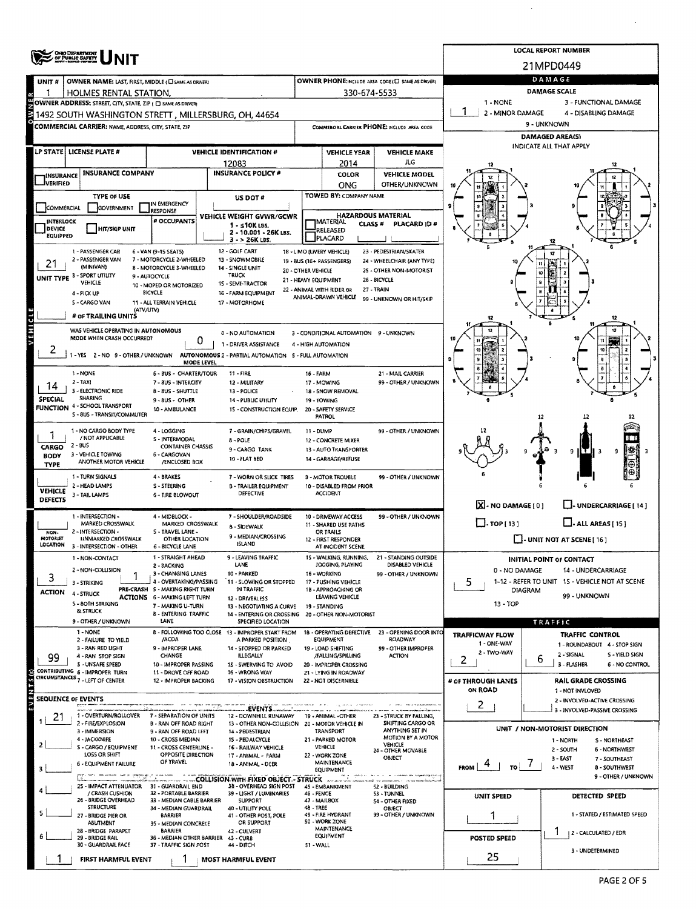|                                      | <b>ONO DEPARTMENT</b>                                                                           |                                                                 | <b>LOCAL REPORT NUMBER</b>                                                        |                                                          |                                                                     |                                              |                                       |                                                               |  |  |  |  |  |
|--------------------------------------|-------------------------------------------------------------------------------------------------|-----------------------------------------------------------------|-----------------------------------------------------------------------------------|----------------------------------------------------------|---------------------------------------------------------------------|----------------------------------------------|---------------------------------------|---------------------------------------------------------------|--|--|--|--|--|
|                                      |                                                                                                 |                                                                 |                                                                                   |                                                          |                                                                     |                                              |                                       | 21MPD0449                                                     |  |  |  |  |  |
| UNIT #                               | OWNER NAME: LAST, FIRST, MIDDLE (C) SAME AS DRIVERY                                             |                                                                 | <b>OWNER PHONE:INCLUDE AREA CODE (E) SAME AS DRIVER)</b>                          | DAMAGE                                                   |                                                                     |                                              |                                       |                                                               |  |  |  |  |  |
| 1                                    | HOLMES RENTAL STATION,<br>OWNER ADDRESS: STREET, CITY, STATE, ZIP ( C) SAME AS DRIVER)          |                                                                 | 330-674-5533                                                                      | <b>DAMAGE SCALE</b><br>1 - NONE<br>3 - FUNCTIONAL DAMAGE |                                                                     |                                              |                                       |                                                               |  |  |  |  |  |
|                                      | 1492 SOUTH WASHINGTON STRETT, MILLERSBURG, OH, 44654                                            |                                                                 |                                                                                   |                                                          |                                                                     |                                              | 2 - MINOR DAMAGE                      | 4 - DISABLING DAMAGE                                          |  |  |  |  |  |
|                                      | COMMERCIAL CARRIER: NAME, ADDRESS, CITY, STATE, ZIP                                             |                                                                 | COMMERCIAL CARRIER PHONE: INCLUDE AREA CODE                                       |                                                          | 9 - UNKNOWN                                                         |                                              |                                       |                                                               |  |  |  |  |  |
|                                      |                                                                                                 |                                                                 |                                                                                   |                                                          | <b>DAMAGED AREA(S)</b>                                              |                                              |                                       |                                                               |  |  |  |  |  |
|                                      | LP STATE LICENSE PLATE #                                                                        |                                                                 | <b>VEHICLE IDENTIFICATION #</b>                                                   |                                                          | <b>VEHICLE YEAR</b>                                                 | <b>VEHICLE MAKE</b>                          |                                       | <b>INDICATE ALL THAT APPLY</b>                                |  |  |  |  |  |
|                                      |                                                                                                 |                                                                 | 12083                                                                             |                                                          | 2014                                                                | ЛG                                           |                                       |                                                               |  |  |  |  |  |
| <b>INSURANCE</b><br><b>JVERIFIED</b> | <b>INSURANCE COMPANY</b>                                                                        |                                                                 | <b>INSURANCE POLICY #</b>                                                         |                                                          | COLOR<br>ONG                                                        | <b>VEHICLE MODEL</b><br>OTHER/UNKNOWN        |                                       |                                                               |  |  |  |  |  |
|                                      | <b>TYPE OF USE</b>                                                                              |                                                                 | US DOT #                                                                          |                                                          | TOWED BY: COMPANY NAME                                              |                                              |                                       |                                                               |  |  |  |  |  |
| COMMERCIAL                           | GOVERNMENT                                                                                      | IN EMERGENCY<br>RESPONSE                                        |                                                                                   |                                                          |                                                                     |                                              |                                       |                                                               |  |  |  |  |  |
| <b>INTERLOCK</b>                     |                                                                                                 | # OCCUPANTS                                                     | VEHICLE WEIGHT GVWR/GCWR<br>$1 - 510K$ LBS.                                       |                                                          | <b>HAZARDOUS MATERIAL</b><br><b>IMATERIAL</b><br>CLASS <sup>#</sup> | PLACARD ID #                                 |                                       |                                                               |  |  |  |  |  |
| <b>DEVICE</b><br><b>EQUIPPED</b>     | <b>HIT/SKIP UNIT</b>                                                                            |                                                                 | 2 - 10.001 - 26K LBS.<br>$3 - 26K$ LBS.                                           | RELEASED<br>PLACARD                                      |                                                                     |                                              |                                       |                                                               |  |  |  |  |  |
|                                      | 1 - PASSENGER CAR                                                                               | 6 - VAN (9-15 SEAT5)                                            | 12 - GOLF CART                                                                    |                                                          | 18 - LIMO (LIVERY VEHICLE)                                          | 23 - PEDESTRIAN/SKATER                       |                                       | 17                                                            |  |  |  |  |  |
| 21                                   | 2 - PASSENGER VAN<br>(MINIVAN)                                                                  | 7 - MOTORCYCLE 2-WHEELED<br>8 - MOTORCYCLE 3-WHEELED            | 13 - SNOWMOBILE<br>14 - SINGLE UNIT                                               |                                                          | 19 - BUS (16 + PASSENGERS)                                          | 24 - WHEELCHAIR (ANY TYPE)                   |                                       |                                                               |  |  |  |  |  |
|                                      | UNIT TYPE 3 - SPORT UTILITY<br>VEHICLE                                                          | 9 - AUTOCYCLE                                                   | <b>TRUCK</b><br>15 - SEMI-TRACTOR                                                 | <b>20 - OTHER VEHICLE</b><br>21 - HEAVY EQUIPMENT        |                                                                     | 25 - OTHER NON-MOTORIST<br>26 - BICYCLE      |                                       |                                                               |  |  |  |  |  |
|                                      | 4 - PICK UP                                                                                     | 10 - MOPED OR MOTORIZED<br><b>BICYCLE</b>                       | 16 - FARM EQUIPMENT                                                               |                                                          | 22 - ANIMAL WITH RIDER OR                                           | 27 - TRAIN                                   |                                       |                                                               |  |  |  |  |  |
|                                      | 5 - CARGO VAN<br>(ATV/UTV)                                                                      | 11 - ALL TERRAIN VEHICLE                                        | 17 - MOTORHOME                                                                    |                                                          | ANIMAL-DRAWN VEHICLE                                                | 99 - UNKNOWN OR HIT/SKIP                     |                                       |                                                               |  |  |  |  |  |
| VEHICLE                              | # OF TRAILING UNITS                                                                             |                                                                 |                                                                                   |                                                          |                                                                     |                                              |                                       |                                                               |  |  |  |  |  |
|                                      | WAS VEHICLE OPERATING IN AUTONOMOUS                                                             |                                                                 | 0 - NO AUTOMATION                                                                 |                                                          | 3 - CONDITIONAL AUTOMATION 9 - UNKNOWN                              |                                              |                                       | 12                                                            |  |  |  |  |  |
| ۷                                    | MODE WHEN CRASH OCCURRED?                                                                       | 0                                                               | 1 - DRIVER ASSISTANCE                                                             |                                                          | 4 - HIGH AUTOMATION                                                 |                                              |                                       |                                                               |  |  |  |  |  |
|                                      |                                                                                                 | <b>MODE LEVEL</b>                                               | -YES 2-NO 9-OTHER / UNKNOWN AUTONOMOUS 2 - PARTIAL AUTOMATION 5 - FULL AUTOMATION |                                                          |                                                                     |                                              |                                       |                                                               |  |  |  |  |  |
|                                      | 1 - NONE                                                                                        | 6 - BUS - CHARTER/TOUR                                          | $11 - FIRE$                                                                       | 16 - FARM                                                |                                                                     | 21 - MAIL CARRIER                            |                                       |                                                               |  |  |  |  |  |
|                                      | $2 - TAX$<br>3 - ELECTRONIC RIDE                                                                | 7 - BUS - INTERCITY<br><b>B-8US-SHUTTLE</b>                     | 12 - MILITARY<br>13 - POLICE                                                      |                                                          | 17 - MOWING<br>18 - SNOW REMOVAL                                    | 99 - OTHER / UNKNOWN                         |                                       |                                                               |  |  |  |  |  |
| <b>SPECIAL</b>                       | <b>SHARING</b><br>4 - SCHOOL TRANSPORT                                                          | 9 - 8US - OTHER                                                 | 14 - PUBLIC UTILITY                                                               |                                                          | 19 - TOWING                                                         |                                              |                                       |                                                               |  |  |  |  |  |
| <b>FUNCTION</b>                      | S - 8US - TRANSIT/COMMUTER                                                                      | 10 - AMBULANCE                                                  | 15 - CONSTRUCTION EQUIP.                                                          |                                                          | 20 - SAFETY SERVICE<br><b>PATROL</b>                                |                                              |                                       | 12                                                            |  |  |  |  |  |
|                                      | 1 - NO CARGO BODY TYPE                                                                          | 4 - LOGGING                                                     | 7 - GRAIN/CHIPS/GRAVEL                                                            | 11 - DUMP                                                |                                                                     | 99 - OTHER / UNKNOWN                         |                                       |                                                               |  |  |  |  |  |
| 1<br>CARGO                           | / NOT APPLICABLE<br>2 - BUS                                                                     | 5 - INTERMODAL<br><b>CONTAINER CHASSIS</b>                      | 8 - POLE                                                                          |                                                          | 12 - CONCRETE MIXER                                                 |                                              |                                       |                                                               |  |  |  |  |  |
| <b>BODY</b>                          | 3 - VEHICLE TOWING                                                                              | 6 - CARGOVAN                                                    | 9-CARGO TANK<br>10 - FLAT BED                                                     |                                                          | <b>13 - AUTO TRANSPORTER</b><br>14 - GARBAGE/REFUSE                 |                                              |                                       | πт<br>9<br>9                                                  |  |  |  |  |  |
| <b>TYPE</b>                          | ANOTHER MOTOR VEHICLE                                                                           | /ENCLOSED BOX                                                   |                                                                                   |                                                          |                                                                     |                                              |                                       |                                                               |  |  |  |  |  |
|                                      | 1 - TURN SIGNALS<br>2 - HEAD LAMPS                                                              | 4 - BRAKES<br>S-STEERING                                        | 7 - WORN OR SLICK TIRES<br><b>B - TRAILER EQUIPMENT</b>                           |                                                          | 9 - MOTOR TROUBLE<br>10 - DISABLED FROM PRIOR                       | 99 - OTHER / UNKNOWN                         |                                       |                                                               |  |  |  |  |  |
| <b>VEHICLE</b><br>DEFECTS            | 3 - TAIL LAMPS                                                                                  | <b>6 - TIRE BLOWOUT</b>                                         | DEFECTIVE                                                                         |                                                          | <b>ACCIDENT</b>                                                     |                                              |                                       |                                                               |  |  |  |  |  |
|                                      | 1 - INTERSECTION -                                                                              | 4 - MIDBLOCK -                                                  | 7 - SHOULDER/ROADSIDE                                                             |                                                          | 10 - DRIVEWAY ACCESS                                                | 99 - OTHER / UNKNOWN                         | XI- NO DAMAGE [0]                     | U-UNDERCARRIAGE [14]                                          |  |  |  |  |  |
| NON-                                 | MARKED CROSSWALK<br>MARKED CROSSWALK<br>8 - SIDEWALK<br>2 - INTERSECTION -<br>S - TRAVEL LANE - |                                                                 |                                                                                   |                                                          | 11 - SHARED USE PATHS<br>OR TRAILS                                  |                                              | $\Box$ -TOP [ 13 ]                    | $\Box$ - ALL AREAS [ 15 ]                                     |  |  |  |  |  |
| MOTORIST<br>LOCATION                 | <b>IZNMARKED CROSSWALK</b><br>3 - INTERSECTION - OTHER                                          | <b>OTHER LOCATION</b><br>6 - BICYCLE LANE                       | 9 - MEDIAN/CROSSING<br><b>ISLAND</b>                                              |                                                          | 12 - FIRST RESPONDER<br>AT INCIDENT SCENE                           |                                              |                                       | - UNIT NOT AT SCENE [ 16 ]                                    |  |  |  |  |  |
|                                      | 1 - NON-CONTACT                                                                                 | 1 - STRAIGHT AHEAD                                              | 9 - LEAVING TRAFFIC                                                               |                                                          | 15 - WALKING, RUNNING,                                              | 21 - STANDING OUTSIDE                        |                                       | <b>INITIAL POINT OF CONTACT</b>                               |  |  |  |  |  |
|                                      | 2 - NON-COLLISION                                                                               | 2 - BACKING<br>3 - CHANGING LANES                               | LANE<br>10 - PARKED                                                               |                                                          | JOGGING, PLAYING<br>16 - WORKING                                    | DISABLED VEHICLE<br>99 - OTHER / UNKNOWN     | 0 - NO DAMAGE<br>14 - UNDERCARRIAGE   |                                                               |  |  |  |  |  |
| 3                                    | 3 - STRIKING                                                                                    | 4 - OVERTAKING/PASSING                                          | 11 - SLOWING OR STOPPED                                                           |                                                          | 17 - PUSHING VEHICLE                                                |                                              | 5                                     | 1-12 - REFER TO UNIT 1S - VEHICLE NOT AT SCENE                |  |  |  |  |  |
| <b>ACTION</b>                        | 4 - STRUCK                                                                                      | PRE-CRASH 5 - MAKING RIGHT TURN<br>ACTIONS 6 - MAKING LEFT TURN | IN TRAFFIC<br>12 - DRIVERLESS                                                     |                                                          | 18 - APPROACHING OR<br>LEAVING VEHICLE                              |                                              | DIAGRAM<br>99 - UNKNOWN               |                                                               |  |  |  |  |  |
|                                      | <b>S-BOTH STRIKING</b><br>& STRUCK                                                              | 7 - MAKING U-TURN<br><b>B - ENTERING TRAFFIC</b>                | 13 - NEGOTIATING A CURVE<br>14 - ENTERING OR CROSSING 20 - OTHER NON-MOTORIST     |                                                          | 19 - STANDING                                                       |                                              | 13 - TOP                              |                                                               |  |  |  |  |  |
|                                      | 9 - OTHER / UNKNOWN                                                                             | LANE                                                            | SPECIFIED LOCATION                                                                |                                                          |                                                                     |                                              |                                       | TRAFFIC                                                       |  |  |  |  |  |
|                                      | 1 - NONE<br>2 - FAILURE TO YIELD                                                                | /ACDA                                                           | 8 - FOLLOWING TOO CLOSE 13 - IMPROPER START FROM<br>A PARKED POSITION             |                                                          | 18 - OPERATING DEFECTIVE<br><b>EQUIPMENT</b>                        | 23 - OPENING DOOR INTO<br>ROADWAY            | <b>TRAFFICWAY FLOW</b><br>1 - ONE-WAY | <b>TRAFFIC CONTROL</b>                                        |  |  |  |  |  |
|                                      | 3 - RAN RED LIGHT<br>4 - RAN STOP SIGN                                                          | 9 - IMPROPER LANE<br>CHANGE                                     | 14 - STOPPED OR PARKED<br>ILLEGALLY                                               |                                                          | 19 - LOAD SHIFTING<br>/FALLING/SPILLING                             | 99 - OTHER IMPROPER<br><b>ACTION</b>         | 2 - TWO-WAY                           | 1 - ROUNDABOUT 4 - STOP SIGN<br>2 - SIGNAL<br>S - YIELD SIGN  |  |  |  |  |  |
| 99                                   | S - UNSAFE SPEED                                                                                | 10 - IMPROPER PASSING                                           | 15 - SWERVING TO AVOID                                                            |                                                          | 20 - IMPROPER CROSSING                                              |                                              | 2                                     | 6<br>3 - FLASHER<br>6 - NO CONTROL                            |  |  |  |  |  |
|                                      | CONTRIBUTING 6 - IMPROPER TURN<br>CIRCUMSTANCES <sub>7</sub> - LEFT OF CENTER                   | 11 - DROVE OFF ROAD<br>12 - IMPROPER BACKING                    | 16 - WRONG WAY<br>17 - VISION OBSTRUCTION                                         |                                                          | 21 - LYING IN ROADWAY<br>22 - NOT DISCERNIBLE                       |                                              | # OF THROUGH LANES                    | RAIL GRADE CROSSING                                           |  |  |  |  |  |
|                                      |                                                                                                 |                                                                 |                                                                                   |                                                          |                                                                     |                                              | ON ROAD                               | 1 - NOT INVLOVED                                              |  |  |  |  |  |
| f٧                                   | SEQUENCE OF EVENTS                                                                              |                                                                 | .EVENTS                                                                           |                                                          |                                                                     |                                              | 2                                     | 2 - INVOLVED-ACTIVE CROSSING<br>3 - INVOLVED-PASSIVE CROSSING |  |  |  |  |  |
| 21                                   | 1 - OVERTURN/ROLLOVER<br>2 - FIRE/EXPLOSION                                                     | 7 - SEPARATION OF UNITS<br><b>B - RAN OFF ROAD RIGHT</b>        | 12 - DOWNHILL RUNAWAY<br>13 - OTHER NON-COLLISION 20 - MOTOR VEHICLE IN           |                                                          | 19 - ANIMAL -OTHER                                                  | 23 - STRUCK BY FALLING,<br>SHIFTING CARGO OR |                                       |                                                               |  |  |  |  |  |
|                                      | 3 - IMMERSION<br>4 - JACKKNIFE                                                                  | 9 - RAN OFF ROAD LEFT<br>10 - CROSS MEDIAN                      | 14 - PEDESTRIAN<br>15 - PEDALCYCLE                                                |                                                          | TRANSPORT<br>21 - PARKED MOTOR                                      | ANYTHING SET IN<br>MOTION BY A MOTOR         |                                       | UNIT / NON-MOTORIST DIRECTION                                 |  |  |  |  |  |
| 2                                    | S - CARGO / EQUIPMENT                                                                           | 11 - CROSS CENTERLINE -                                         | 16 - RAILWAY VEHICLE                                                              |                                                          | <b>VEHICLE</b>                                                      | <b>VEHICLE</b><br>24 - OTHER MOVABLE         |                                       | 1 - NORTH<br>S-NORTHEAST<br>6 - NORTHWEST<br>2 - SOUTH        |  |  |  |  |  |
|                                      | LOSS OR SHIFT<br><b>6 - EQUIPMENT FAILURE</b>                                                   | OPPOSITE DIRECTION<br>OF TRAVEL                                 | 17 - ANIMAL - FARM<br>18 - ANIMAL - DEER                                          |                                                          | 22 - WORK ZONE<br>MAINTENANCE                                       | OBJECT                                       | <b>FROM</b>                           | 3 - EAST<br>7 - SOUTHEAST<br>4 - WEST<br><b>8 - SOUTHWEST</b> |  |  |  |  |  |
|                                      | <b>SALES IN A TATAR</b>                                                                         |                                                                 | COLLISION WITH FIXED OBJECT .- STRUCK                                             |                                                          | <b>EQUIPMENT</b>                                                    | am raspecting sino.                          |                                       | 9 - OTHER / UNKNOWN                                           |  |  |  |  |  |
|                                      | 25 - IMPACT ATTENUATOR 31 - GUARDRAIL END<br>/ CRASH CUSHION                                    | <b>32 - PORTABLE BARRIER</b>                                    | 38 - OVERHEAD SIGN POST<br>39 - LIGHT / LUMINARIES                                | 46 - FENCE                                               | 45 - EMBANKMENT                                                     | 52 - BUILDING<br>53 - TUNNEL                 |                                       |                                                               |  |  |  |  |  |
|                                      | 26 - BRIDGE OVERHEAD<br><b>STRUCTURE</b>                                                        | 33 - MEDIAN CABLE BARRIER<br>34 - MEDIAN GUARDRAIL              | <b>SUPPORT</b><br>40 - UTILITY POLE                                               | 48 - TREE                                                | 47 - MAILBOX                                                        | 54 - OTHER FIXED<br>OBJECT                   | <b>UNIT SPEED</b>                     | DETECTED SPEED                                                |  |  |  |  |  |
|                                      | 27 - BRIDGE PIER OR                                                                             | <b>BARRIER</b>                                                  | 41 - OTHER POST, POLE                                                             |                                                          | 49 - FIRE HYDRANT<br>50 - WORK ZONE                                 | 99 - OTHER / UNKNOWN                         | 1                                     | 1 - STATED / ESTIMATED SPEED                                  |  |  |  |  |  |
|                                      | ABUTMENT<br>28 - BRIDGE PARAPET                                                                 | 35 - MEDIAN CONCRETE<br><b>BARRIER</b>                          | OR SUPPORT<br>42 - CULVERT                                                        |                                                          | <b>MAINTENANCE</b><br><b>EQUIPMENT</b>                              |                                              |                                       | 2 - CALCULATED / EDR                                          |  |  |  |  |  |
|                                      | 29 - BRIDGE RAIL<br>30 - GUARDRAIL FACE                                                         | 36 - MEDIAN OTHER BARRIER 43 - CURB<br>37 - TRAFFIC SIGN POST   | 44 - DITCH                                                                        | 51 - WALL                                                |                                                                     |                                              | POSTED SPEED                          |                                                               |  |  |  |  |  |
|                                      | FIRST HARMFUL EVENT                                                                             |                                                                 | <b>MOST HARMFUL EVENT</b>                                                         |                                                          |                                                                     |                                              | 25                                    | 3 - UNDETERMINED                                              |  |  |  |  |  |

 $\cdot$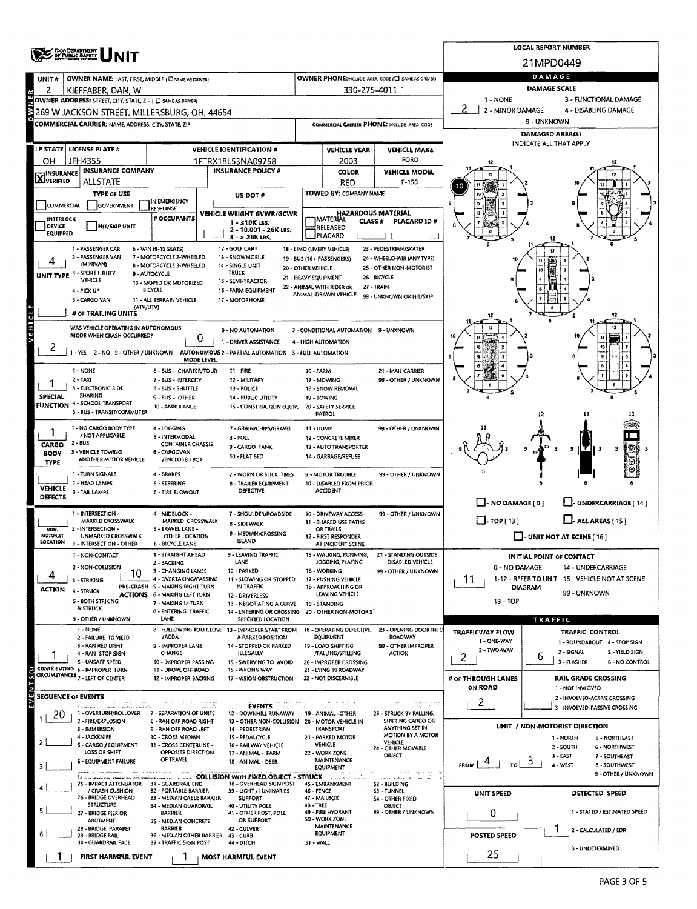